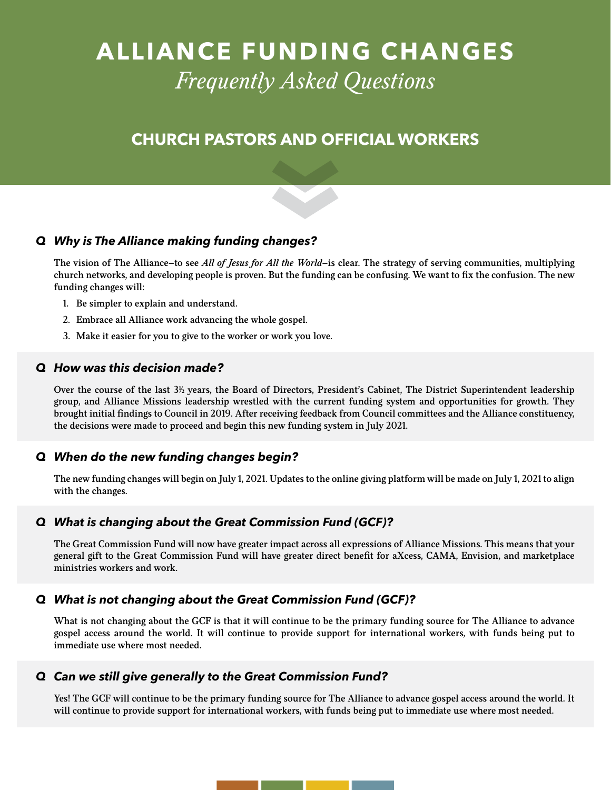# **ALLIANCE FUNDING CHANGES**  *Frequently Asked Questions*

# **CHURCH PASTORS AND OFFICIAL WORKERS**

### *Q Why is The Alliance making funding changes?*

The vision of The Alliance—to see *All of Jesus for All the World*—is clear. The strategy of serving communities, multiplying church networks, and developing people is proven. But the funding can be confusing. We want to fix the confusion. The new funding changes will:

- 1. Be simpler to explain and understand.
- 2. Embrace all Alliance work advancing the whole gospel.
- 3. Make it easier for you to give to the worker or work you love.

#### *Q How was this decision made?*

Over the course of the last 3<sup>1</sup>/<sub>2</sub> years, the Board of Directors, President's Cabinet, The District Superintendent leadership group, and Alliance Missions leadership wrestled with the current funding system and opportunities for growth. They brought initial findings to Council in 2019. After receiving feedback from Council committees and the Alliance constituency, the decisions were made to proceed and begin this new funding system in July 2021.

### *Q When do the new funding changes begin?*

The new funding changes will begin on July 1, 2021. Updates to the online giving platform will be made on July 1, 2021 to align with the changes.

### *Q What is changing about the Great Commission Fund (GCF)?*

The Great Commission Fund will now have greater impact across all expressions of Alliance Missions. This means that your general gift to the Great Commission Fund will have greater direct benefit for aXcess, CAMA, Envision, and marketplace ministries workers and work.

### *Q What is not changing about the Great Commission Fund (GCF)?*

What is not changing about the GCF is that it will continue to be the primary funding source for The Alliance to advance gospel access around the world. It will continue to provide support for international workers, with funds being put to immediate use where most needed.

### *Q Can we still give generally to the Great Commission Fund?*

Yes! The GCF will continue to be the primary funding source for The Alliance to advance gospel access around the world. It will continue to provide support for international workers, with funds being put to immediate use where most needed.